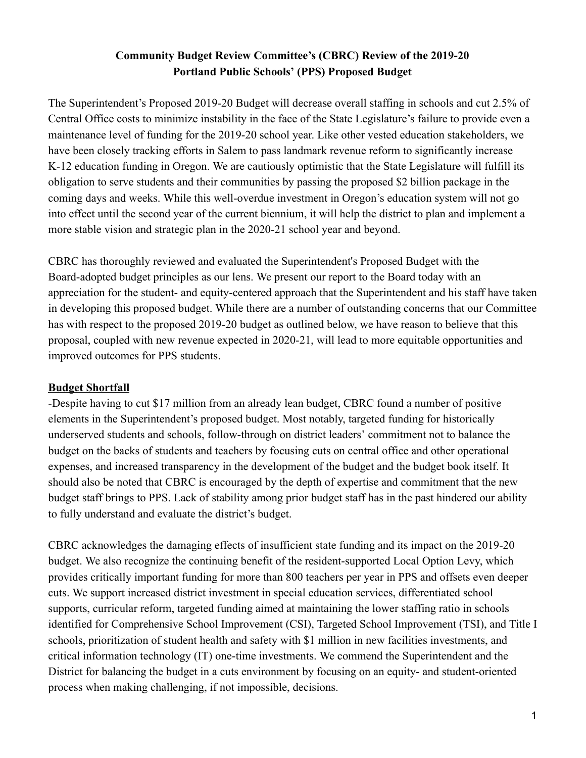# **Community Budget Review Committee's (CBRC) Review of the 2019-20 Portland Public Schools' (PPS) Proposed Budget**

The Superintendent's Proposed 2019-20 Budget will decrease overall staffing in schools and cut 2.5% of Central Office costs to minimize instability in the face of the State Legislature's failure to provide even a maintenance level of funding for the 2019-20 school year. Like other vested education stakeholders, we have been closely tracking efforts in Salem to pass landmark revenue reform to significantly increase K-12 education funding in Oregon. We are cautiously optimistic that the State Legislature will fulfill its obligation to serve students and their communities by passing the proposed \$2 billion package in the coming days and weeks. While this well-overdue investment in Oregon's education system will not go into effect until the second year of the current biennium, it will help the district to plan and implement a more stable vision and strategic plan in the 2020-21 school year and beyond.

CBRC has thoroughly reviewed and evaluated the Superintendent's Proposed Budget with the Board-adopted budget principles as our lens. We present our report to the Board today with an appreciation for the student- and equity-centered approach that the Superintendent and his staff have taken in developing this proposed budget. While there are a number of outstanding concerns that our Committee has with respect to the proposed 2019-20 budget as outlined below, we have reason to believe that this proposal, coupled with new revenue expected in 2020-21, will lead to more equitable opportunities and improved outcomes for PPS students.

### **Budget Shortfall**

-Despite having to cut \$17 million from an already lean budget, CBRC found a number of positive elements in the Superintendent's proposed budget. Most notably, targeted funding for historically underserved students and schools, follow-through on district leaders' commitment not to balance the budget on the backs of students and teachers by focusing cuts on central office and other operational expenses, and increased transparency in the development of the budget and the budget book itself. It should also be noted that CBRC is encouraged by the depth of expertise and commitment that the new budget staff brings to PPS. Lack of stability among prior budget staff has in the past hindered our ability to fully understand and evaluate the district's budget.

CBRC acknowledges the damaging effects of insufficient state funding and its impact on the 2019-20 budget. We also recognize the continuing benefit of the resident-supported Local Option Levy, which provides critically important funding for more than 800 teachers per year in PPS and offsets even deeper cuts. We support increased district investment in special education services, differentiated school supports, curricular reform, targeted funding aimed at maintaining the lower staffing ratio in schools identified for Comprehensive School Improvement (CSI), Targeted School Improvement (TSI), and Title I schools, prioritization of student health and safety with \$1 million in new facilities investments, and critical information technology (IT) one-time investments. We commend the Superintendent and the District for balancing the budget in a cuts environment by focusing on an equity- and student-oriented process when making challenging, if not impossible, decisions.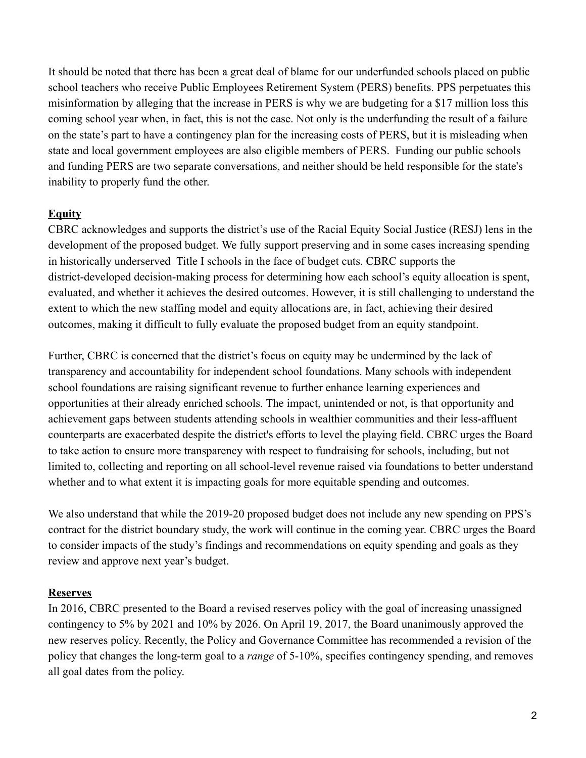It should be noted that there has been a great deal of blame for our underfunded schools placed on public school teachers who receive Public Employees Retirement System (PERS) benefits. PPS perpetuates this misinformation by alleging that the increase in PERS is why we are budgeting for a \$17 million loss this coming school year when, in fact, this is not the case. Not only is the underfunding the result of a failure on the state's part to have a contingency plan for the increasing costs of PERS, but it is misleading when state and local government employees are also eligible members of PERS. Funding our public schools and funding PERS are two separate conversations, and neither should be held responsible for the state's inability to properly fund the other.

# **Equity**

CBRC acknowledges and supports the district's use of the Racial Equity Social Justice (RESJ) lens in the development of the proposed budget. We fully support preserving and in some cases increasing spending in historically underserved Title I schools in the face of budget cuts. CBRC supports the district-developed decision-making process for determining how each school's equity allocation is spent, evaluated, and whether it achieves the desired outcomes. However, it is still challenging to understand the extent to which the new staffing model and equity allocations are, in fact, achieving their desired outcomes, making it difficult to fully evaluate the proposed budget from an equity standpoint.

Further, CBRC is concerned that the district's focus on equity may be undermined by the lack of transparency and accountability for independent school foundations. Many schools with independent school foundations are raising significant revenue to further enhance learning experiences and opportunities attheir already enriched schools. The impact, unintended or not, is that opportunity and achievement gaps between students attending schools in wealthier communities and their less-affluent counterparts are exacerbated despite the district's efforts to level the playing field. CBRC urges the Board to take action to ensure more transparency with respect to fundraising for schools, including, but not limited to, collecting and reporting on all school-level revenue raised via foundations to better understand whether and to what extent it is impacting goals for more equitable spending and outcomes.

We also understand that while the 2019-20 proposed budget does not include any new spending on PPS's contract for the district boundary study, the work will continue in the coming year. CBRC urges the Board to consider impacts of the study's findings and recommendations on equity spending and goals as they review and approve next year's budget.

# **Reserves**

In 2016, CBRC presented to the Board a revised reserves policy with the goal of increasing unassigned contingency to 5% by 2021 and 10% by 2026. On April 19, 2017, the Board unanimously approved the new reserves policy. Recently, the Policy and Governance Committee has recommended a revision of the policy that changes the long-term goal to a *range* of 5-10%, specifies contingency spending, and removes all goal dates from the policy.